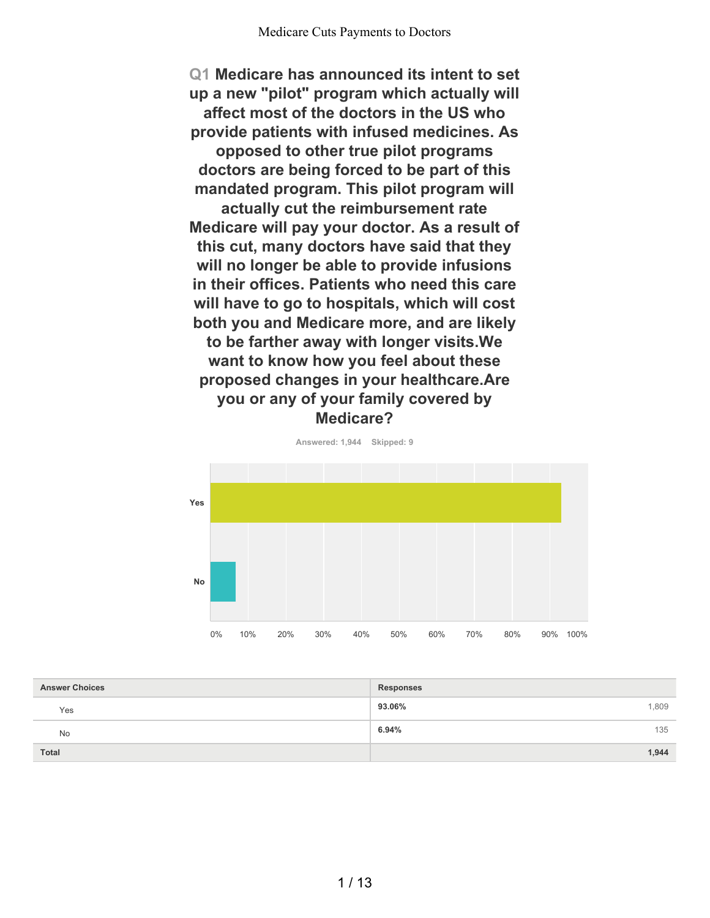**Q1 Medicare has announced its intent to set up a new "pilot" program which actually will affect most of the doctors in the US who provide patients with infused medicines. As opposed to other true pilot programs doctors are being forced to be part of this mandated program. This pilot program will actually cut the reimbursement rate Medicare will pay your doctor. As a result of this cut, many doctors have said that they will no longer be able to provide infusions in their offices. Patients who need this care will have to go to hospitals, which will cost both you and Medicare more, and are likely to be farther away with longer visits.We want to know how you feel about these proposed changes in your healthcare.Are you or any of your family covered by Medicare?**



**93.06%** 1,809 **6.94%** 135 **Total 1,944 Answer Choices Responses** Yes No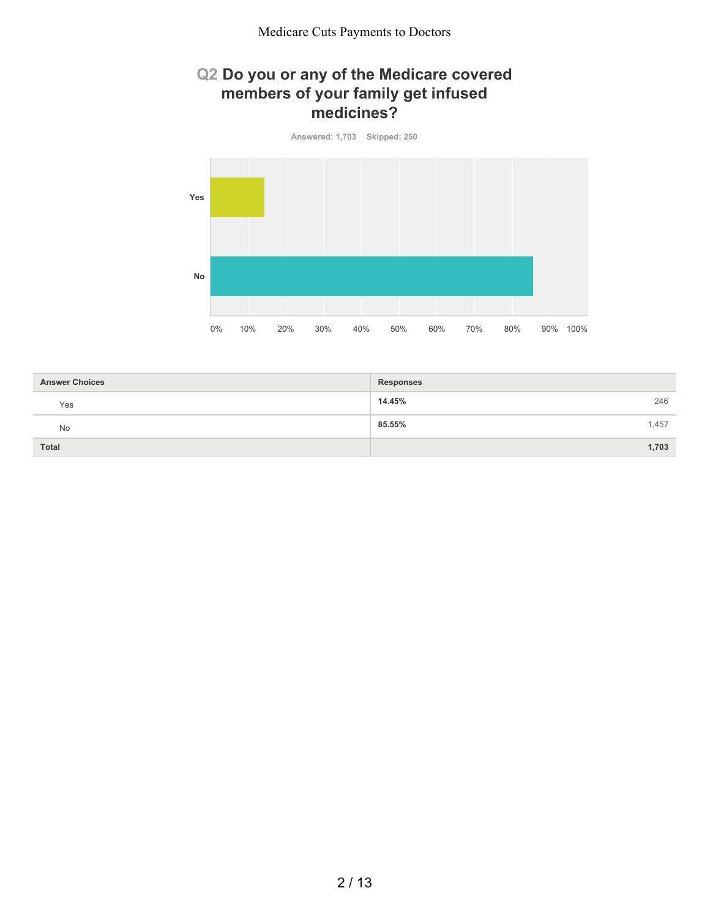### **Q2 Do you or any of the Medicare covered members of your family get infused medicines?**



| <b>Answer Choices</b> | <b>Responses</b> |
|-----------------------|------------------|
| Yes                   | 246<br>14.45%    |
| No                    | 85.55%<br>1,457  |
| Total                 | 1,703            |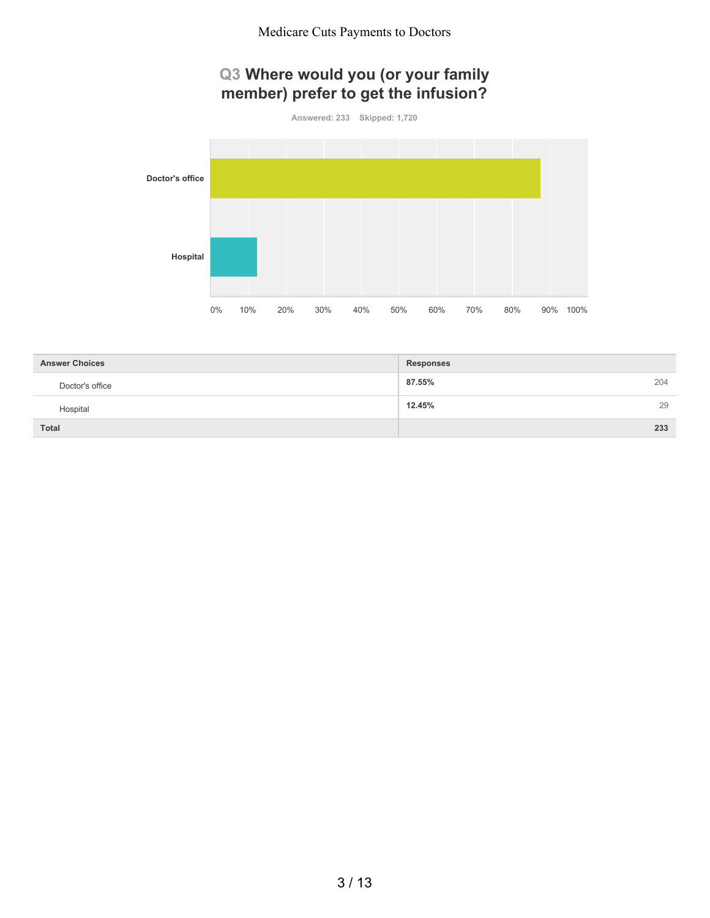## **Q3 Where would you (or your family member) prefer to get the infusion?**

**Answered: 233 Skipped: 1,720**



| <b>Answer Choices</b> | <b>Responses</b> |
|-----------------------|------------------|
| Doctor's office       | 87.55%<br>204    |
| Hospital              | 29<br>12.45%     |
| <b>Total</b>          | 233              |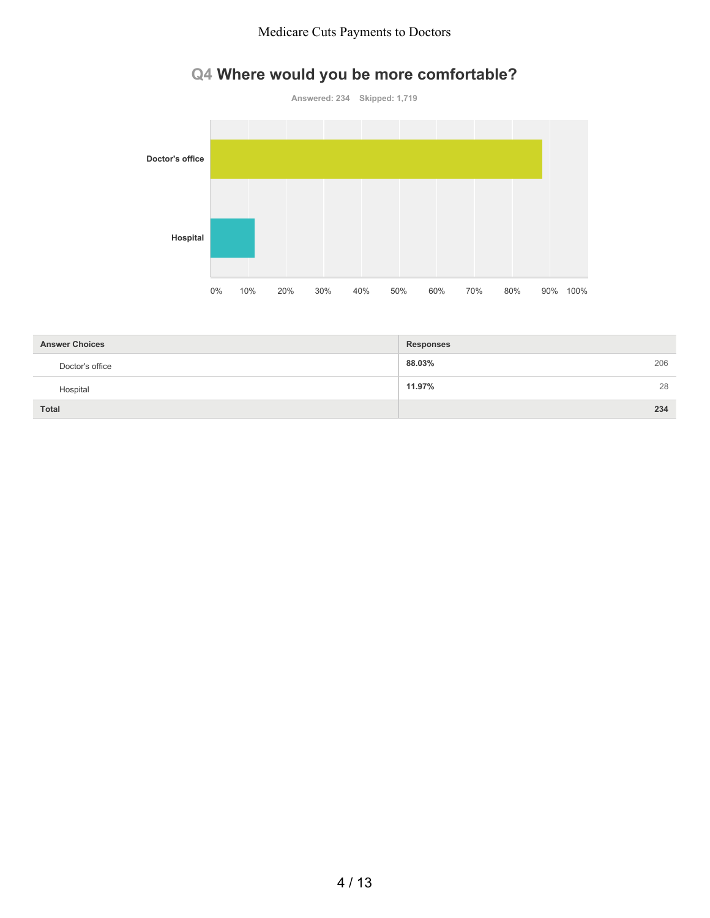#### Medicare Cuts Payments to Doctors

# **Q4 Where would you be more comfortable?**



| <b>Answer Choices</b> | <b>Responses</b> |
|-----------------------|------------------|
| Doctor's office       | 88.03%<br>206    |
| Hospital              | 11.97%<br>28     |
| <b>Total</b>          | 234              |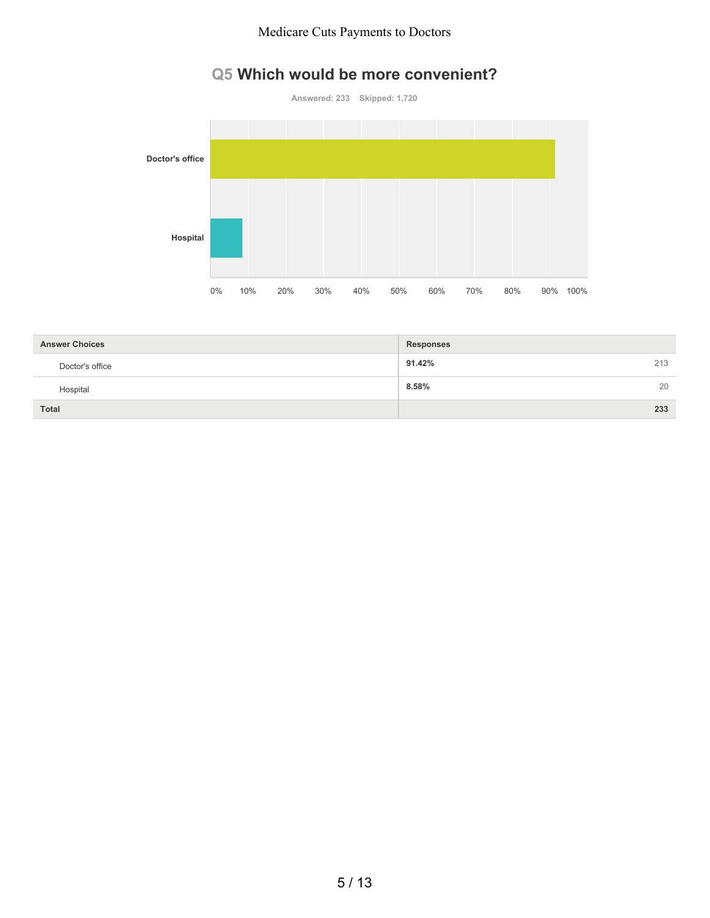#### Medicare Cuts Payments to Doctors

## **Q5 Which would be more convenient?**



| <b>Answer Choices</b> | <b>Responses</b> |
|-----------------------|------------------|
| Doctor's office       | 91.42%<br>213    |
| Hospital              | 8.58%<br>20      |
| <b>Total</b>          | 233              |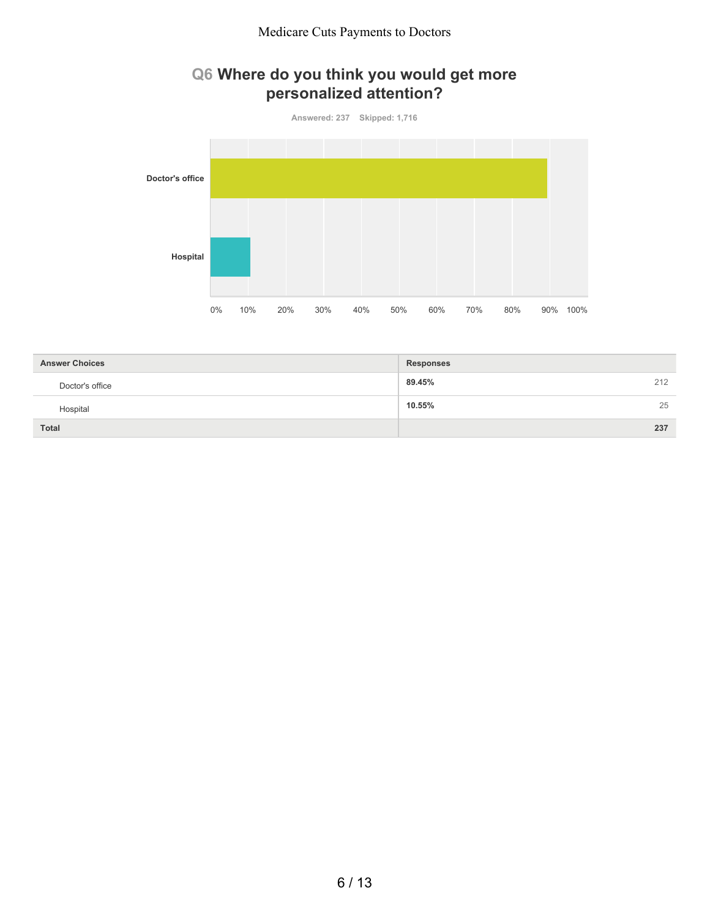## **Q6 Where do you think you would get more personalized attention?**

**Answered: 237 Skipped: 1,716 Doctor's office Hospital** 0% 10% 20% 30% 40% 50% 60% 70% 80% 90% 100%

| <b>Answer Choices</b> | <b>Responses</b> |
|-----------------------|------------------|
| Doctor's office       | 212<br>89.45%    |
| Hospital              | 25<br>10.55%     |
| <b>Total</b>          | 237              |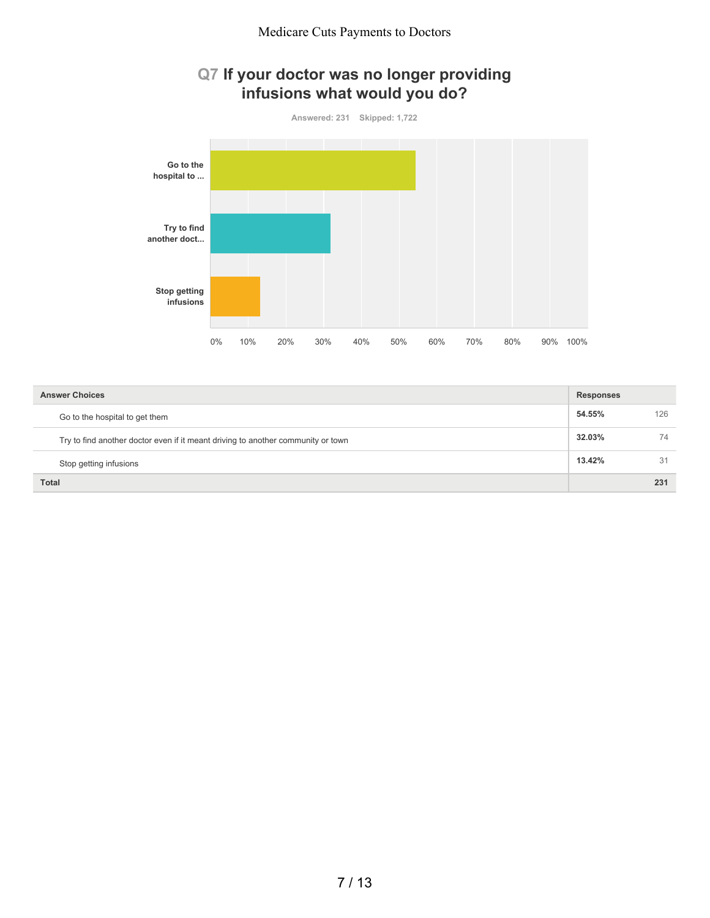## **Q7 If your doctor was no longer providing infusions what would you do?**



| <b>Answer Choices</b>                                                            | <b>Responses</b> |     |
|----------------------------------------------------------------------------------|------------------|-----|
| Go to the hospital to get them                                                   | 54.55%           | 126 |
| Try to find another doctor even if it meant driving to another community or town | 32.03%           | 74  |
| Stop getting infusions                                                           | 13.42%           | 31  |
| <b>Total</b>                                                                     |                  | 231 |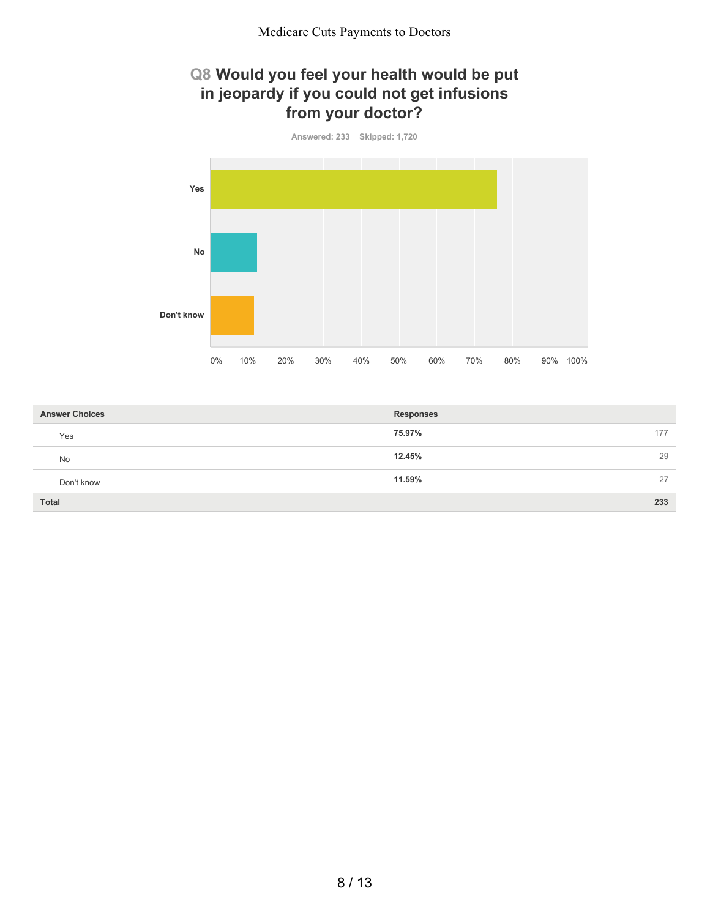### **Q8 Would you feel your health would be put in jeopardy if you could not get infusions from your doctor?**



| <b>Answer Choices</b> | <b>Responses</b> |
|-----------------------|------------------|
| Yes                   | 75.97%<br>177    |
| <b>No</b>             | 12.45%<br>29     |
| Don't know            | 11.59%<br>27     |
| <b>Total</b>          | 233              |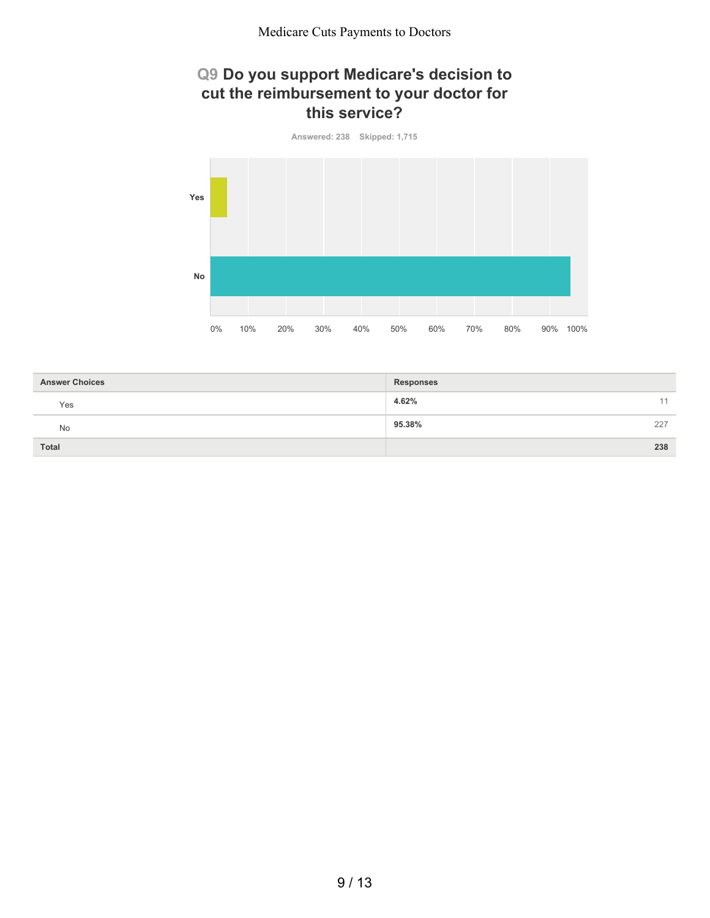## **Q9 Do you support Medicare's decision to cut the reimbursement to your doctor for this service?**



| <b>Answer Choices</b> | <b>Responses</b> |     |
|-----------------------|------------------|-----|
| Yes                   | 4.62%            | 11  |
| <b>No</b>             | 95.38%           | 227 |
| Total                 |                  | 238 |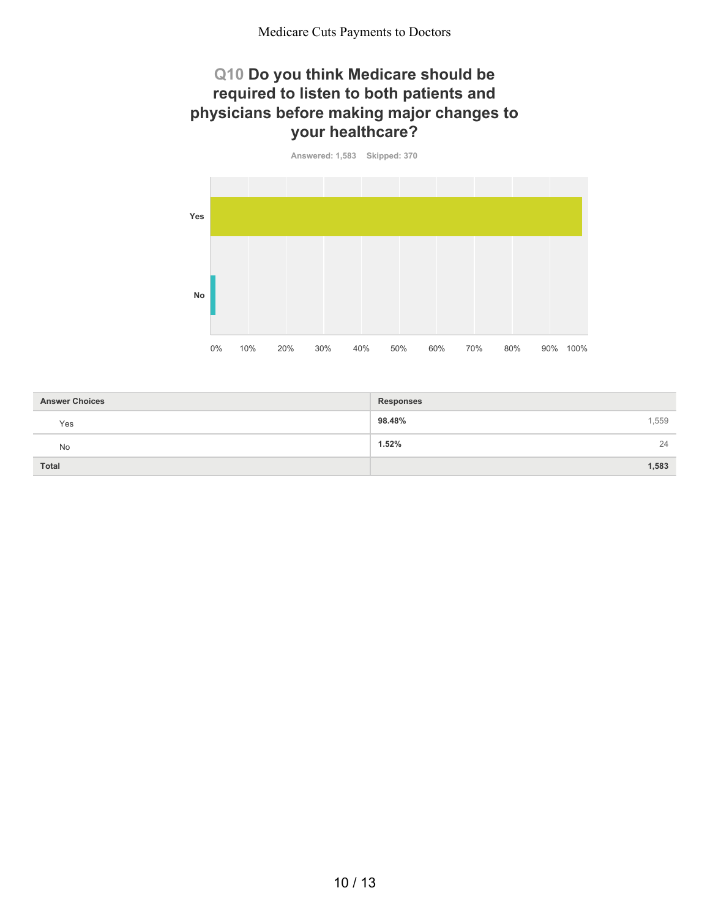### **Q10 Do you think Medicare should be required to listen to both patients and physicians before making major changes to your healthcare?**

**Answered: 1,583 Skipped: 370**



| <b>Answer Choices</b> | <b>Responses</b> |
|-----------------------|------------------|
| Yes                   | 98.48%<br>1,559  |
| No                    | 1.52%<br>24      |
| <b>Total</b>          | 1,583            |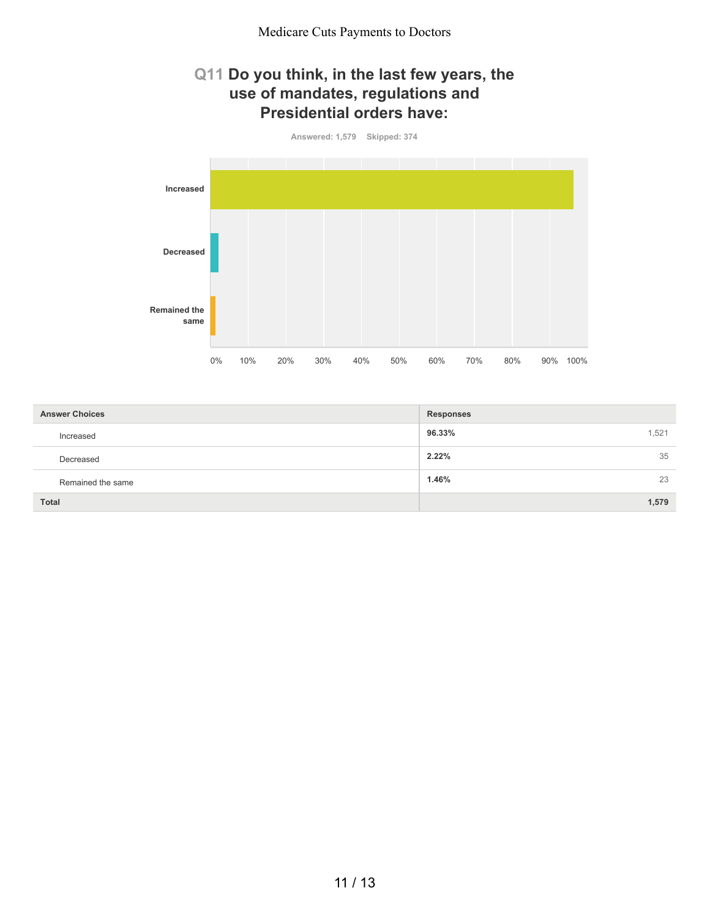#### **Q11 Do you think, in the last few years, the use of mandates, regulations and Presidential orders have:**



| <b>Answer Choices</b> | <b>Responses</b> |
|-----------------------|------------------|
| Increased             | 96.33%<br>.521   |
| Decreased             | 35<br>2.22%      |
| Remained the same     | 1.46%<br>23      |
| <b>Total</b>          | 1,579            |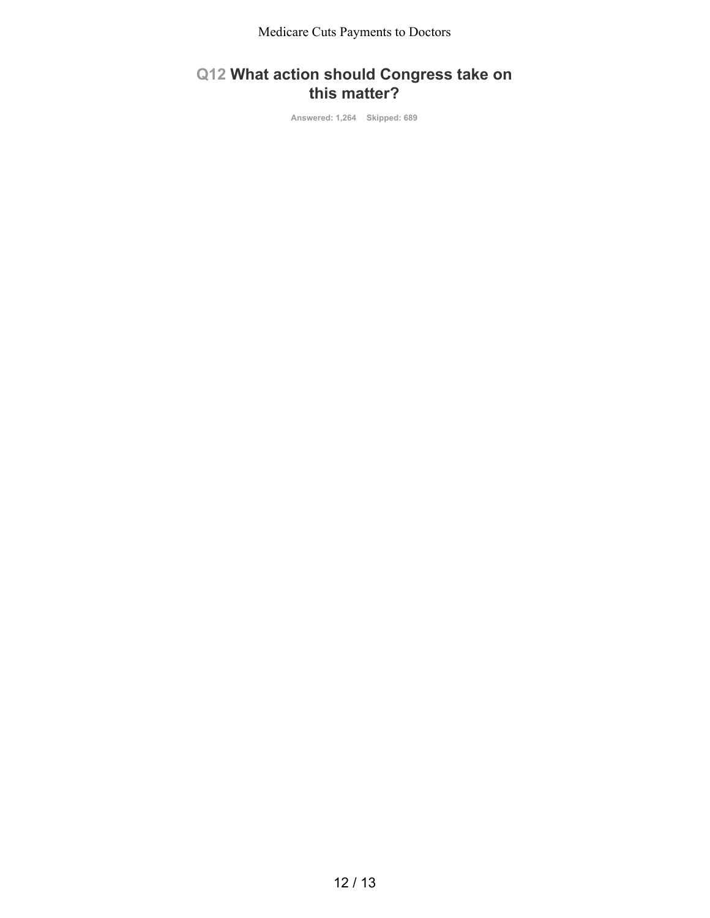## **Q12 What action should Congress take on this matter?**

**Answered: 1,264 Skipped: 689**